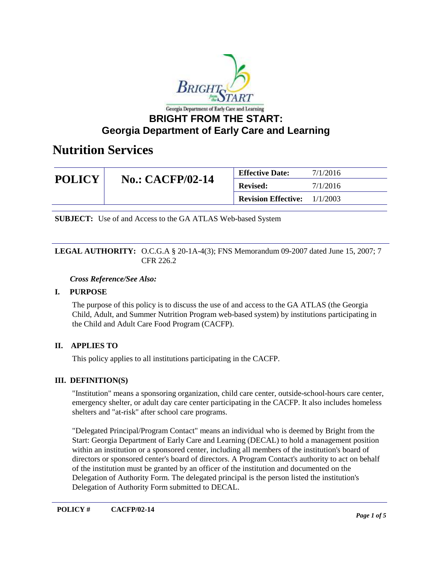

## **Georgia Department of Early Care and Learning**

## **Nutrition Services**

| <b>POLICY</b> | <b>No.: CACFP/02-14</b> | <b>Effective Date:</b>                | 7/1/2016 |
|---------------|-------------------------|---------------------------------------|----------|
|               |                         | <b>Revised:</b>                       | 7/1/2016 |
|               |                         | <b>Revision Effective:</b> $1/1/2003$ |          |

**SUBJECT:** Use of and Access to the GA ATLAS Web-based System

### **LEGAL AUTHORITY:** O.C.G.A § 20-1A-4(3); FNS Memorandum 09-2007 dated June 15, 2007; 7 CFR 226.2

### *Cross Reference/See Also:*

## **I. PURPOSE**

The purpose of this policy is to discuss the use of and access to the GA ATLAS (the Georgia Child, Adult, and Summer Nutrition Program web-based system) by institutions participating in the Child and Adult Care Food Program (CACFP).

## **II. APPLIES TO**

This policy applies to all institutions participating in the CACFP.

## **III. DEFINITION(S)**

"Institution" means a sponsoring organization, child care center, outside-school-hours care center, emergency shelter, or adult day care center participating in the CACFP. It also includes homeless shelters and "at-risk" after school care programs.

"Delegated Principal/Program Contact" means an individual who is deemed by Bright from the Start: Georgia Department of Early Care and Learning (DECAL) to hold a management position within an institution or a sponsored center, including all members of the institution's board of directors or sponsored center's board of directors. A Program Contact's authority to act on behalf of the institution must be granted by an officer of the institution and documented on the Delegation of Authority Form. The delegated principal is the person listed the institution's Delegation of Authority Form submitted to DECAL.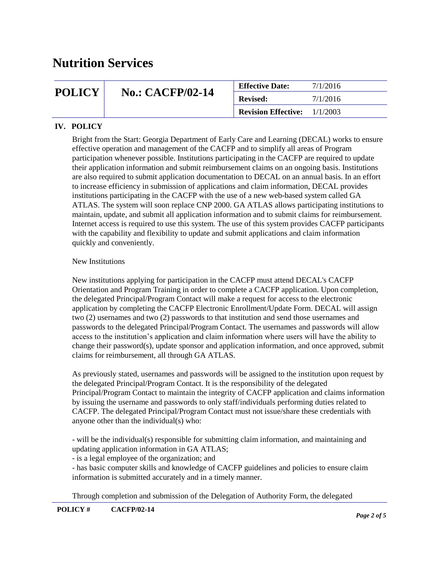## **POLICY** No.: CACFP/02-14 **Effective Date:** 7/1/2016 **Revised: Revision Effective:** 1/1/2003

## **IV. POLICY**

Bright from the Start: Georgia Department of Early Care and Learning (DECAL) works to ensure effective operation and management of the CACFP and to simplify all areas of Program participation whenever possible. Institutions participating in the CACFP are required to update their application information and submit reimbursement claims on an ongoing basis. Institutions are also required to submit application documentation to DECAL on an annual basis. In an effort to increase efficiency in submission of applications and claim information, DECAL provides institutions participating in the CACFP with the use of a new web-based system called GA ATLAS. The system will soon replace CNP 2000. GA ATLAS allows participating institutions to maintain, update, and submit all application information and to submit claims for reimbursement. Internet access is required to use this system. The use of this system provides CACFP participants with the capability and flexibility to update and submit applications and claim information quickly and conveniently.

#### New Institutions

New institutions applying for participation in the CACFP must attend DECAL's CACFP Orientation and Program Training in order to complete a CACFP application. Upon completion, the delegated Principal/Program Contact will make a request for access to the electronic application by completing the CACFP Electronic Enrollment/Update Form. DECAL will assign two (2) usernames and two (2) passwords to that institution and send those usernames and passwords to the delegated Principal/Program Contact. The usernames and passwords will allow access to the institution's application and claim information where users will have the ability to change their password(s), update sponsor and application information, and once approved, submit claims for reimbursement, all through GA ATLAS.

As previously stated, usernames and passwords will be assigned to the institution upon request by the delegated Principal/Program Contact. It is the responsibility of the delegated Principal/Program Contact to maintain the integrity of CACFP application and claims information by issuing the username and passwords to only staff/individuals performing duties related to CACFP. The delegated Principal/Program Contact must not issue/share these credentials with anyone other than the individual(s) who:

- will be the individual(s) responsible for submitting claim information, and maintaining and updating application information in GA ATLAS;

- is a legal employee of the organization; and

- has basic computer skills and knowledge of CACFP guidelines and policies to ensure claim information is submitted accurately and in a timely manner.

Through completion and submission of the Delegation of Authority Form, the delegated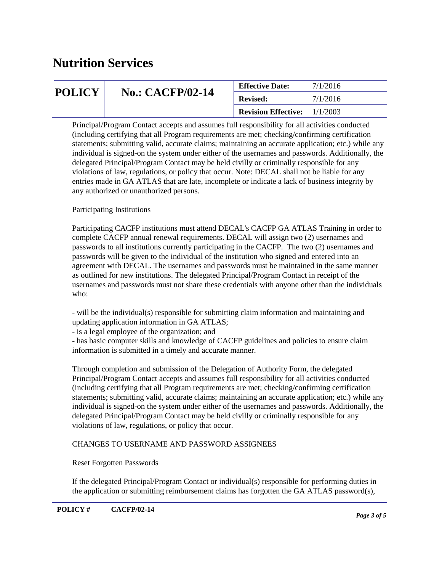| <b>POLICY</b> | <b>No.: CACFP/02-14</b> | <b>Effective Date:</b>              | 7/1/2016 |
|---------------|-------------------------|-------------------------------------|----------|
|               |                         | <b>Revised:</b>                     | 7/1/2016 |
|               |                         | <b>Revision Effective:</b> 1/1/2003 |          |

Principal/Program Contact accepts and assumes full responsibility for all activities conducted (including certifying that all Program requirements are met; checking/confirming certification statements; submitting valid, accurate claims; maintaining an accurate application; etc.) while any individual is signed-on the system under either of the usernames and passwords. Additionally, the delegated Principal/Program Contact may be held civilly or criminally responsible for any violations of law, regulations, or policy that occur. Note: DECAL shall not be liable for any entries made in GA ATLAS that are late, incomplete or indicate a lack of business integrity by any authorized or unauthorized persons.

## Participating Institutions

Participating CACFP institutions must attend DECAL's CACFP GA ATLAS Training in order to complete CACFP annual renewal requirements. DECAL will assign two (2) usernames and passwords to all institutions currently participating in the CACFP. The two (2) usernames and passwords will be given to the individual of the institution who signed and entered into an agreement with DECAL. The usernames and passwords must be maintained in the same manner as outlined for new institutions. The delegated Principal/Program Contact in receipt of the usernames and passwords must not share these credentials with anyone other than the individuals who:

- will be the individual(s) responsible for submitting claim information and maintaining and updating application information in GA ATLAS;

- is a legal employee of the organization; and

- has basic computer skills and knowledge of CACFP guidelines and policies to ensure claim information is submitted in a timely and accurate manner.

Through completion and submission of the Delegation of Authority Form, the delegated Principal/Program Contact accepts and assumes full responsibility for all activities conducted (including certifying that all Program requirements are met; checking/confirming certification statements; submitting valid, accurate claims; maintaining an accurate application; etc.) while any individual is signed-on the system under either of the usernames and passwords. Additionally, the delegated Principal/Program Contact may be held civilly or criminally responsible for any violations of law, regulations, or policy that occur.

## CHANGES TO USERNAME AND PASSWORD ASSIGNEES

#### Reset Forgotten Passwords

If the delegated Principal/Program Contact or individual(s) responsible for performing duties in the application or submitting reimbursement claims has forgotten the GA ATLAS password(s),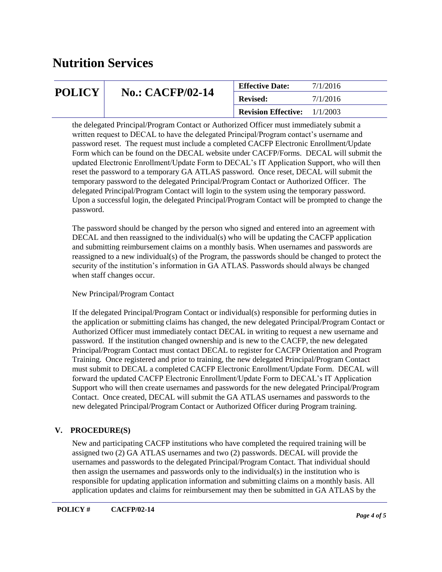| <b>POLICY</b> | <b>No.: CACFP/02-14</b> | <b>Effective Date:</b>                | 7/1/2016 |
|---------------|-------------------------|---------------------------------------|----------|
|               |                         | <b>Revised:</b>                       | 7/1/2016 |
|               |                         | <b>Revision Effective:</b> $1/1/2003$ |          |

the delegated Principal/Program Contact or Authorized Officer must immediately submit a written request to DECAL to have the delegated Principal/Program contact's username and password reset. The request must include a completed CACFP Electronic Enrollment/Update Form which can be found on the DECAL website under CACFP/Forms. DECAL will submit the updated Electronic Enrollment/Update Form to DECAL's IT Application Support, who will then reset the password to a temporary GA ATLAS password. Once reset, DECAL will submit the temporary password to the delegated Principal/Program Contact or Authorized Officer. The delegated Principal/Program Contact will login to the system using the temporary password. Upon a successful login, the delegated Principal/Program Contact will be prompted to change the password.

The password should be changed by the person who signed and entered into an agreement with DECAL and then reassigned to the individual(s) who will be updating the CACFP application and submitting reimbursement claims on a monthly basis. When usernames and passwords are reassigned to a new individual(s) of the Program, the passwords should be changed to protect the security of the institution's information in GA ATLAS. Passwords should always be changed when staff changes occur.

## New Principal/Program Contact

If the delegated Principal/Program Contact or individual(s) responsible for performing duties in the application or submitting claims has changed, the new delegated Principal/Program Contact or Authorized Officer must immediately contact DECAL in writing to request a new username and password. If the institution changed ownership and is new to the CACFP, the new delegated Principal/Program Contact must contact DECAL to register for CACFP Orientation and Program Training. Once registered and prior to training, the new delegated Principal/Program Contact must submit to DECAL a completed CACFP Electronic Enrollment/Update Form. DECAL will forward the updated CACFP Electronic Enrollment/Update Form to DECAL's IT Application Support who will then create usernames and passwords for the new delegated Principal/Program Contact. Once created, DECAL will submit the GA ATLAS usernames and passwords to the new delegated Principal/Program Contact or Authorized Officer during Program training.

## **V. PROCEDURE(S)**

New and participating CACFP institutions who have completed the required training will be assigned two (2) GA ATLAS usernames and two (2) passwords. DECAL will provide the usernames and passwords to the delegated Principal/Program Contact. That individual should then assign the usernames and passwords only to the individual(s) in the institution who is responsible for updating application information and submitting claims on a monthly basis. All application updates and claims for reimbursement may then be submitted in GA ATLAS by the